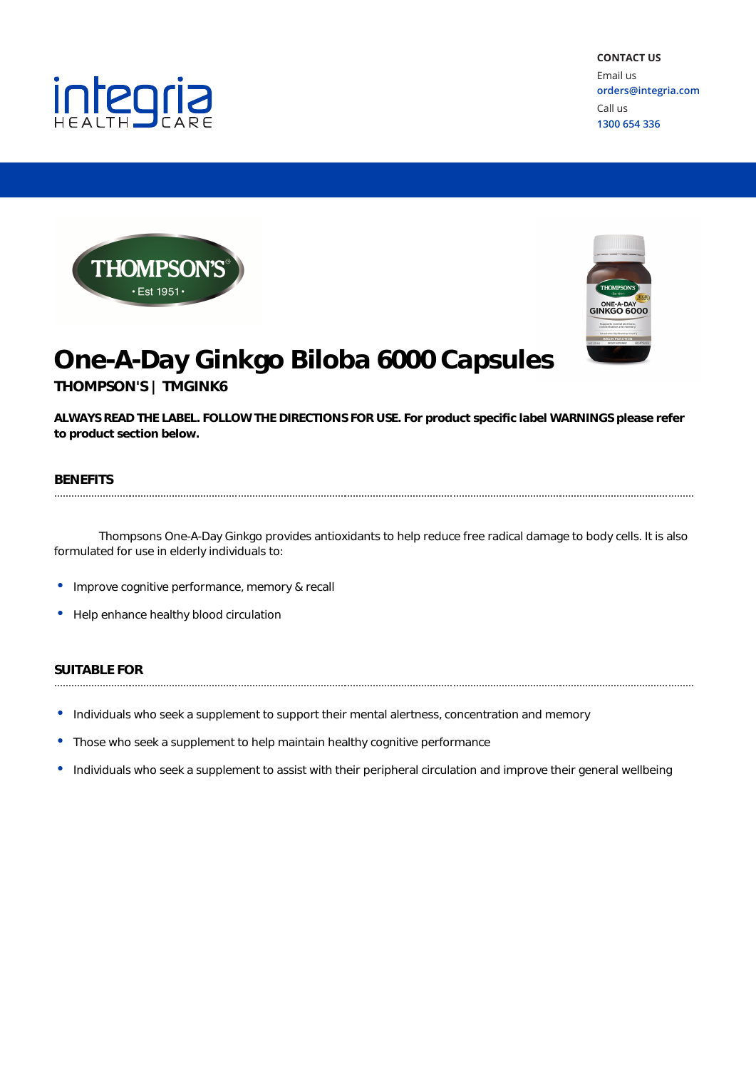



integria



# **One-A-Day Ginkgo Biloba 6000 Capsules**

**THOMPSON'S | TMGINK6**

**ALWAYS READ THE LABEL. FOLLOW THE DIRECTIONS FOR USE. For product specific label WARNINGS please refer to product section below.**

#### **BENEFITS** ..........................

Thompsons One-A-Day Ginkgo provides antioxidants to help reduce free radical damage to body cells. It is also formulated for use in elderly individuals to:

- •Improve cognitive performance, memory & recall
- •Help enhance healthy blood circulation

# **SUITABLE FOR**

- •Individuals who seek <sup>a</sup> supplement to support their mental alertness, concentration and memory
- •Those who seek <sup>a</sup> supplement to help maintain healthy cognitive performance
- •Individuals who seek <sup>a</sup> supplement to assist with their peripheral circulation and improve their general wellbeing